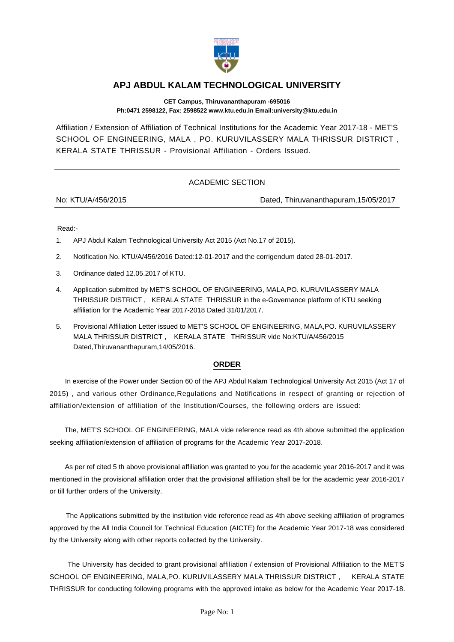

## **APJ ABDUL KALAM TECHNOLOGICAL UNIVERSITY**

**CET Campus, Thiruvananthapuram -695016 Ph:0471 2598122, Fax: 2598522 www.ktu.edu.in Email:university@ktu.edu.in**

Affiliation / Extension of Affiliation of Technical Institutions for the Academic Year 2017-18 - MET'S SCHOOL OF ENGINEERING, MALA , PO. KURUVILASSERY MALA THRISSUR DISTRICT , KERALA STATE THRISSUR - Provisional Affiliation - Orders Issued.

## ACADEMIC SECTION

No: KTU/A/456/2015 Dated, Thiruvananthapuram,15/05/2017

Read:-

- 1. APJ Abdul Kalam Technological University Act 2015 (Act No.17 of 2015).
- 2. Notification No. KTU/A/456/2016 Dated:12-01-2017 and the corrigendum dated 28-01-2017.
- 3. Ordinance dated 12.05.2017 of KTU.
- 4. Application submitted by MET'S SCHOOL OF ENGINEERING, MALA,PO. KURUVILASSERY MALA THRISSUR DISTRICT , KERALA STATE THRISSUR in the e-Governance platform of KTU seeking affiliation for the Academic Year 2017-2018 Dated 31/01/2017.
- 5. Provisional Affiliation Letter issued to MET'S SCHOOL OF ENGINEERING, MALA,PO. KURUVILASSERY MALA THRISSUR DISTRICT , KERALA STATE THRISSUR vide No:KTU/A/456/2015 Dated,Thiruvananthapuram,14/05/2016.

## **ORDER**

 In exercise of the Power under Section 60 of the APJ Abdul Kalam Technological University Act 2015 (Act 17 of 2015) , and various other Ordinance,Regulations and Notifications in respect of granting or rejection of affiliation/extension of affiliation of the Institution/Courses, the following orders are issued:

 The, MET'S SCHOOL OF ENGINEERING, MALA vide reference read as 4th above submitted the application seeking affiliation/extension of affiliation of programs for the Academic Year 2017-2018.

 As per ref cited 5 th above provisional affiliation was granted to you for the academic year 2016-2017 and it was mentioned in the provisional affiliation order that the provisional affiliation shall be for the academic year 2016-2017 or till further orders of the University.

 The Applications submitted by the institution vide reference read as 4th above seeking affiliation of programes approved by the All India Council for Technical Education (AICTE) for the Academic Year 2017-18 was considered by the University along with other reports collected by the University.

 The University has decided to grant provisional affiliation / extension of Provisional Affiliation to the MET'S SCHOOL OF ENGINEERING, MALA,PO. KURUVILASSERY MALA THRISSUR DISTRICT , KERALA STATE THRISSUR for conducting following programs with the approved intake as below for the Academic Year 2017-18.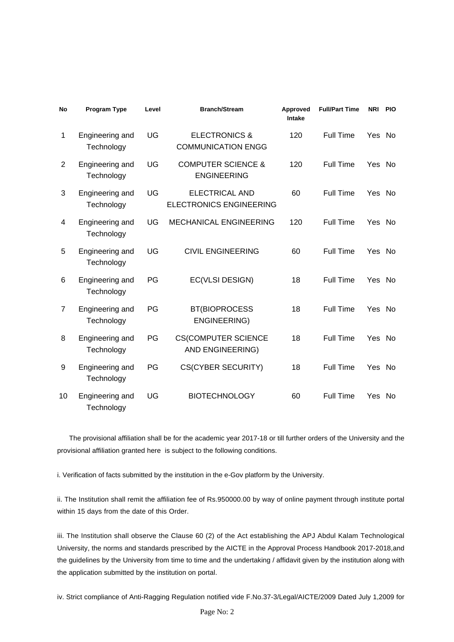| <b>No</b> | <b>Program Type</b>           | Level | <b>Branch/Stream</b>                                    | Approved<br><b>Intake</b> | <b>Full/Part Time</b> | <b>NRI</b> | <b>PIO</b> |
|-----------|-------------------------------|-------|---------------------------------------------------------|---------------------------|-----------------------|------------|------------|
| 1         | Engineering and<br>Technology | UG    | <b>ELECTRONICS &amp;</b><br><b>COMMUNICATION ENGG</b>   | 120                       | <b>Full Time</b>      | Yes        | No.        |
| 2         | Engineering and<br>Technology | UG    | <b>COMPUTER SCIENCE &amp;</b><br><b>ENGINEERING</b>     | 120                       | <b>Full Time</b>      | Yes        | No.        |
| 3         | Engineering and<br>Technology | UG    | <b>ELECTRICAL AND</b><br><b>ELECTRONICS ENGINEERING</b> | 60                        | <b>Full Time</b>      | Yes No     |            |
| 4         | Engineering and<br>Technology | UG    | <b>MECHANICAL ENGINEERING</b>                           | 120                       | Full Time             | Yes        | No.        |
| 5         | Engineering and<br>Technology | UG    | <b>CIVIL ENGINEERING</b>                                | 60                        | <b>Full Time</b>      | Yes No     |            |
| 6         | Engineering and<br>Technology | PG    | EC(VLSI DESIGN)                                         | 18                        | <b>Full Time</b>      | Yes        | No.        |
| 7         | Engineering and<br>Technology | PG    | <b>BT(BIOPROCESS</b><br><b>ENGINEERING)</b>             | 18                        | Full Time             | Yes        | No.        |
| 8         | Engineering and<br>Technology | PG    | <b>CS(COMPUTER SCIENCE</b><br>AND ENGINEERING)          | 18                        | Full Time             | Yes        | No         |
| 9         | Engineering and<br>Technology | PG    | <b>CS(CYBER SECURITY)</b>                               | 18                        | <b>Full Time</b>      | Yes        | No.        |
| 10        | Engineering and<br>Technology | UG    | <b>BIOTECHNOLOGY</b>                                    | 60                        | Full Time             | Yes        | <b>No</b>  |

 The provisional affiliation shall be for the academic year 2017-18 or till further orders of the University and the provisional affiliation granted here is subject to the following conditions.

i. Verification of facts submitted by the institution in the e-Gov platform by the University.

ii. The Institution shall remit the affiliation fee of Rs.950000.00 by way of online payment through institute portal within 15 days from the date of this Order.

iii. The Institution shall observe the Clause 60 (2) of the Act establishing the APJ Abdul Kalam Technological University, the norms and standards prescribed by the AICTE in the Approval Process Handbook 2017-2018,and the guidelines by the University from time to time and the undertaking / affidavit given by the institution along with the application submitted by the institution on portal.

iv. Strict compliance of Anti-Ragging Regulation notified vide F.No.37-3/Legal/AICTE/2009 Dated July 1,2009 for